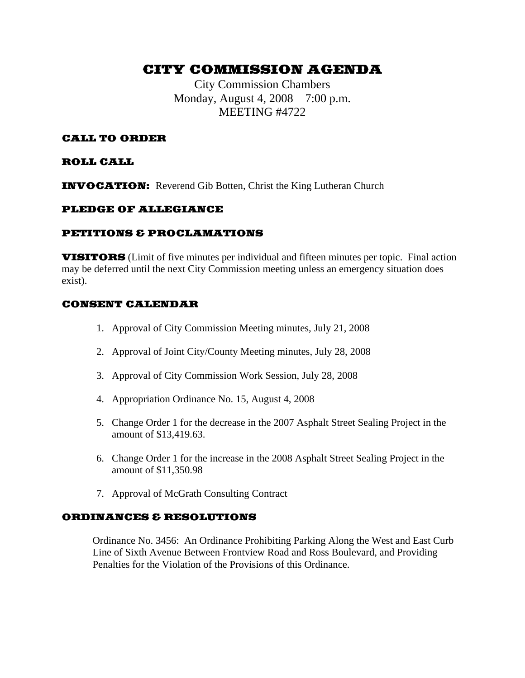# CITY COMMISSION AGENDA

City Commission Chambers Monday, August 4, 2008 7:00 p.m. MEETING #4722

# CALL TO ORDER

## ROLL CALL

INVOCATION: Reverend Gib Botten, Christ the King Lutheran Church

## PLEDGE OF ALLEGIANCE

## PETITIONS & PROCLAMATIONS

VISITORS (Limit of five minutes per individual and fifteen minutes per topic. Final action may be deferred until the next City Commission meeting unless an emergency situation does exist).

## CONSENT CALENDAR

- 1. Approval of City Commission Meeting minutes, July 21, 2008
- 2. Approval of Joint City/County Meeting minutes, July 28, 2008
- 3. Approval of City Commission Work Session, July 28, 2008
- 4. Appropriation Ordinance No. 15, August 4, 2008
- 5. Change Order 1 for the decrease in the 2007 Asphalt Street Sealing Project in the amount of \$13,419.63.
- 6. Change Order 1 for the increase in the 2008 Asphalt Street Sealing Project in the amount of \$11,350.98
- 7. Approval of McGrath Consulting Contract

# ORDINANCES & RESOLUTIONS

Ordinance No. 3456: An Ordinance Prohibiting Parking Along the West and East Curb Line of Sixth Avenue Between Frontview Road and Ross Boulevard, and Providing Penalties for the Violation of the Provisions of this Ordinance.